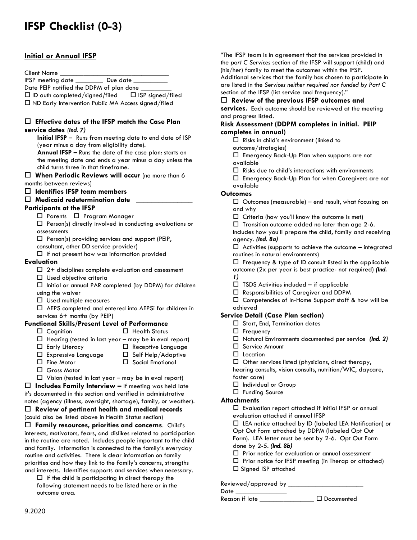# **IFSP Checklist (0-3)**

## **Initial or Annual IFSP**

#### Client Name

IFSP meeting date \_\_\_\_\_\_\_\_ Due date \_\_\_\_\_\_\_\_\_\_

Date PEIP notified the DDPM of plan done

ID auth completed/signed**/**filed ISP signed/filed

 $\Box$  ND Early Intervention Public MA Access signed/filed

#### **Effective dates of the IFSP match the Case Plan service dates** *(Ind. 7)*

**Initial IFSP** – Runs from meeting date to end date of ISP (year minus a day from eligibility date).

**Annual IFSP –** Runs the date of the case plan: starts on the meeting date and ends a year minus a day unless the child turns three in that timeframe.

 **When Periodic Reviews will occur** (no more than 6 months between reviews)

- **Identifies IFSP team members**
- **Medicaid redetermination date** \_\_\_\_\_\_\_\_\_\_\_\_\_\_\_

### **Participants at the IFSP**

□ Parents □ Program Manager

 $\square$  Person(s) directly involved in conducting evaluations or assessments

 $\square$  Person(s) providing services and support (PEIP,

- consultant, other DD service provider)
- $\Box$  If not present how was information provided

#### **Evaluation**

- $\Box$  2+ disciplines complete evaluation and assessment
- $\square$  Used objective criteria
- $\Box$  Initial or annual PAR completed (by DDPM) for children using the waiver
- Used multiple measures

 AEPS completed and entered into AEPSi for children in services 6+ months (by PEIP)

## **Functional Skills/Present Level of Performance**

- 
- $\Box$  Cognition  $\Box$  Health Status
- $\Box$  Hearing (tested in last year may be in eval report)
- $\Box$  Early Literacy  $\Box$  Receptive Language
- $\Box$  Expressive Language  $\Box$  Self Help/Adaptive
- $\Box$  Fine Motor  $\Box$  Social Emotional
- Gross Motor
- 
- $\Box$  Vision (tested in last year may be in eval report)

 **Includes Family Interview –** If meeting was held late it's documented in this section and verified in administrative notes (agency (illness, oversight, shortage), family, or weather).

 **Review of pertinent health and medical records** (could also be listed above in Health Status section)

 **Family resources, priorities and concerns**. Child's interests, motivators, fears, and dislikes related to participation in the routine are noted. Includes people important to the child and family. Information is connected to the family's everyday routine and activities. There is clear information on family priorities and how they link to the family's concerns, strengths and interests. Identifies supports and services when necessary.

 $\Box$  If the child is participating in direct therapy the following statement needs to be listed here or in the outcome area.

"The IFSP team is in agreement that the services provided in the *part C Services* section of the IFSP will support (child) and (his/her) family to meet the outcomes within the IFSP. Additional services that the family has chosen to participate in

are listed in the *Services neither required nor funded by Part C* section of the IFSP (list service and frequency)."

## **Review of the previous IFSP outcomes and**

**services.** Each outcome should be reviewed at the meeting and progress listed.

## **Risk Assessment (DDPM completes in initial. PEIP completes in annual)**

 $\Box$  Risks in child's environment (linked to

outcome/strategies)

 $\square$  Emergency Back-Up Plan when supports are not available

 $\Box$  Risks due to child's interactions with environments

 Emergency Back-Up Plan for when Caregivers are not available

## **Outcomes**

 $\Box$  Outcomes (measurable) – end result, what focusing on and why

 $\Box$  Criteria (how you'll know the outcome is met)

 $\square$  Transition outcome added no later than age 2-6.

Includes how you'll prepare the child, family and receiving agency. *(Ind. 8a)*

 $\Box$  Activities (supports to achieve the outcome – integrated routines in natural environments)

 $\square$  Frequency & type of ID consult listed in the applicable outcome (2x per year is best practice- not required) *(Ind.*

- *1)*
- $\Box$  TSDS Activities included if applicable
- Responsibilities of Caregiver and DDPM
- Competencies of In-Home Support staff & how will be achieved

## **Service Detail (Case Plan section)**

- $\Box$  Start, End, Termination dates
- □ Frequency
- Natural Environments documented per service *(Ind. 2)*
- □ Service Amount
- □ Location
- $\Box$  Other services listed (physicians, direct therapy,

hearing consults, vision consults, nutrition/WIC, daycare, foster care)

- □ Individual or Group
- Funding Source

### **Attachments**

 $\square$  Evaluation report attached if initial IFSP or annual evaluation attached if annual IFSP

LEA notice attached by ID (labeled LEA Notification) or

Opt Out Form attached by DDPM (labeled Opt Out

Form). LEA letter must be sent by 2-6. Opt Out Form done by 2-5*. (Ind. 8b)*

- $\square$  Prior notice for evaluation or annual assessment
- $\square$  Prior notice for IFSP meeting (in Therap or attached)
- $\square$  Signed ISP attached

### Reviewed/approved by \_\_\_\_\_\_\_\_\_\_\_\_\_\_\_\_\_\_\_\_\_\_

 $Date \_$ 

Reason if late \_\_\_\_\_\_\_\_\_\_\_\_\_\_\_\_ Documented